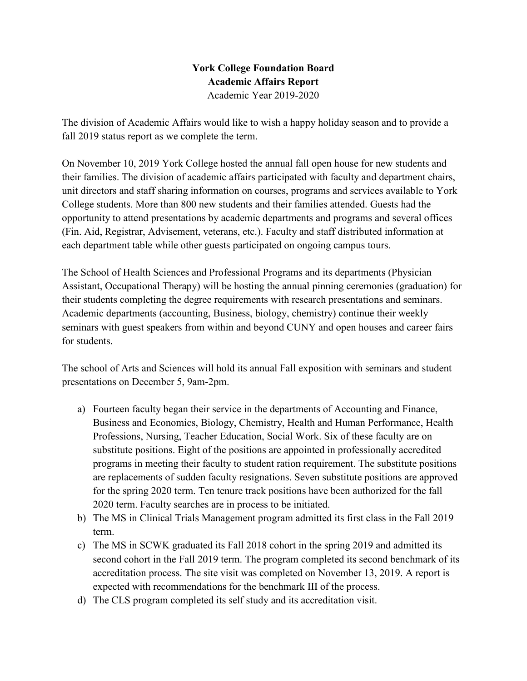## **York College Foundation Board Academic Affairs Report**  Academic Year 2019-2020

The division of Academic Affairs would like to wish a happy holiday season and to provide a fall 2019 status report as we complete the term.

 College students. More than 800 new students and their families attended. Guests had the each department table while other guests participated on ongoing campus tours. On November 10, 2019 York College hosted the annual fall open house for new students and their families. The division of academic affairs participated with faculty and department chairs, unit directors and staff sharing information on courses, programs and services available to York opportunity to attend presentations by academic departments and programs and several offices (Fin. Aid, Registrar, Advisement, veterans, etc.). Faculty and staff distributed information at

 Assistant, Occupational Therapy) will be hosting the annual pinning ceremonies (graduation) for Academic departments (accounting, Business, biology, chemistry) continue their weekly seminars with guest speakers from within and beyond CUNY and open houses and career fairs The School of Health Sciences and Professional Programs and its departments (Physician their students completing the degree requirements with research presentations and seminars. for students.

 presentations on December 5, 9am-2pm. The school of Arts and Sciences will hold its annual Fall exposition with seminars and student

- Professions, Nursing, Teacher Education, Social Work. Six of these faculty are on 2020 term. Faculty searches are in process to be initiated. a) Fourteen faculty began their service in the departments of Accounting and Finance, Business and Economics, Biology, Chemistry, Health and Human Performance, Health substitute positions. Eight of the positions are appointed in professionally accredited programs in meeting their faculty to student ration requirement. The substitute positions are replacements of sudden faculty resignations. Seven substitute positions are approved for the spring 2020 term. Ten tenure track positions have been authorized for the fall
- b) The MS in Clinical Trials Management program admitted its first class in the Fall 2019 term.
- c) The MS in SCWK graduated its Fall 2018 cohort in the spring 2019 and admitted its second cohort in the Fall 2019 term. The program completed its second benchmark of its accreditation process. The site visit was completed on November 13, 2019. A report is expected with recommendations for the benchmark III of the process.
- d) The CLS program completed its self study and its accreditation visit.